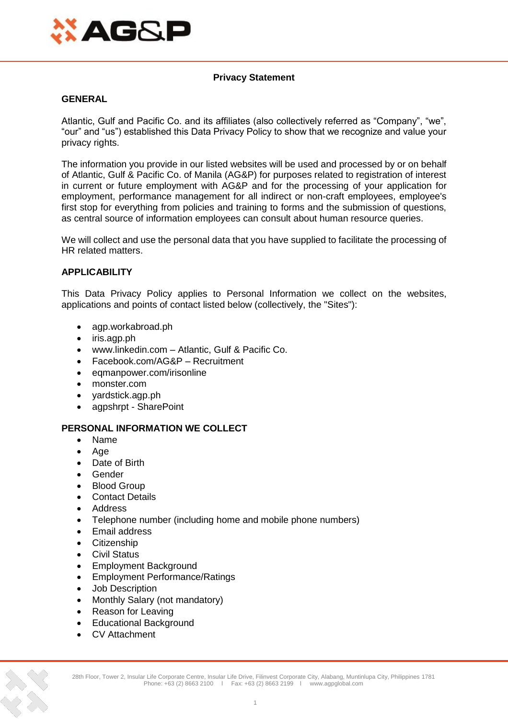

# **Privacy Statement**

### **GENERAL**

Atlantic, Gulf and Pacific Co. and its affiliates (also collectively referred as "Company", "we", "our" and "us") established this Data Privacy Policy to show that we recognize and value your privacy rights.

The information you provide in our listed websites will be used and processed by or on behalf of Atlantic, Gulf & Pacific Co. of Manila (AG&P) for purposes related to registration of interest in current or future employment with AG&P and for the processing of your application for employment, performance management for all indirect or non-craft employees, employee's first stop for everything from policies and training to forms and the submission of questions, as central source of information employees can consult about human resource queries.

We will collect and use the personal data that you have supplied to facilitate the processing of HR related matters.

# **APPLICABILITY**

This Data Privacy Policy applies to Personal Information we collect on the websites, applications and points of contact listed below (collectively, the "Sites"):

- agp.workabroad.ph
- iris.agp.ph
- www.linkedin.com Atlantic, Gulf & Pacific Co.
- Facebook.com/AG&P Recruitment
- eqmanpower.com/irisonline
- monster.com
- yardstick.agp.ph
- agpshrpt SharePoint

# **PERSONAL INFORMATION WE COLLECT**

- Name
- Age
- Date of Birth
- Gender
- Blood Group
- Contact Details
- Address
- Telephone number (including home and mobile phone numbers)
- Email address
- **•** Citizenship
- Civil Status
- Employment Background
- Employment Performance/Ratings
- Job Description
- Monthly Salary (not mandatory)
- Reason for Leaving
- Educational Background
- CV Attachment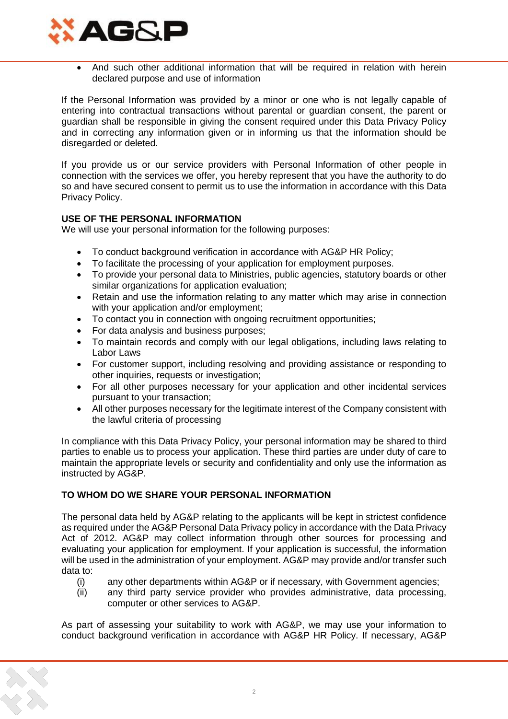

 And such other additional information that will be required in relation with herein declared purpose and use of information

If the Personal Information was provided by a minor or one who is not legally capable of entering into contractual transactions without parental or guardian consent, the parent or guardian shall be responsible in giving the consent required under this Data Privacy Policy and in correcting any information given or in informing us that the information should be disregarded or deleted.

If you provide us or our service providers with Personal Information of other people in connection with the services we offer, you hereby represent that you have the authority to do so and have secured consent to permit us to use the information in accordance with this Data Privacy Policy.

# **USE OF THE PERSONAL INFORMATION**

We will use your personal information for the following purposes:

- To conduct background verification in accordance with AG&P HR Policy;
- To facilitate the processing of your application for employment purposes.
- To provide your personal data to Ministries, public agencies, statutory boards or other similar organizations for application evaluation;
- Retain and use the information relating to any matter which may arise in connection with your application and/or employment;
- To contact you in connection with ongoing recruitment opportunities;
- For data analysis and business purposes;
- To maintain records and comply with our legal obligations, including laws relating to Labor Laws
- For customer support, including resolving and providing assistance or responding to other inquiries, requests or investigation;
- For all other purposes necessary for your application and other incidental services pursuant to your transaction;
- All other purposes necessary for the legitimate interest of the Company consistent with the lawful criteria of processing

In compliance with this Data Privacy Policy, your personal information may be shared to third parties to enable us to process your application. These third parties are under duty of care to maintain the appropriate levels or security and confidentiality and only use the information as instructed by AG&P.

# **TO WHOM DO WE SHARE YOUR PERSONAL INFORMATION**

The personal data held by AG&P relating to the applicants will be kept in strictest confidence as required under the AG&P Personal Data Privacy policy in accordance with the Data Privacy Act of 2012. AG&P may collect information through other sources for processing and evaluating your application for employment. If your application is successful, the information will be used in the administration of your employment. AG&P may provide and/or transfer such data to:

- (i) any other departments within AG&P or if necessary, with Government agencies;
- (ii) any third party service provider who provides administrative, data processing, computer or other services to AG&P.

As part of assessing your suitability to work with AG&P, we may use your information to conduct background verification in accordance with AG&P HR Policy. If necessary, AG&P